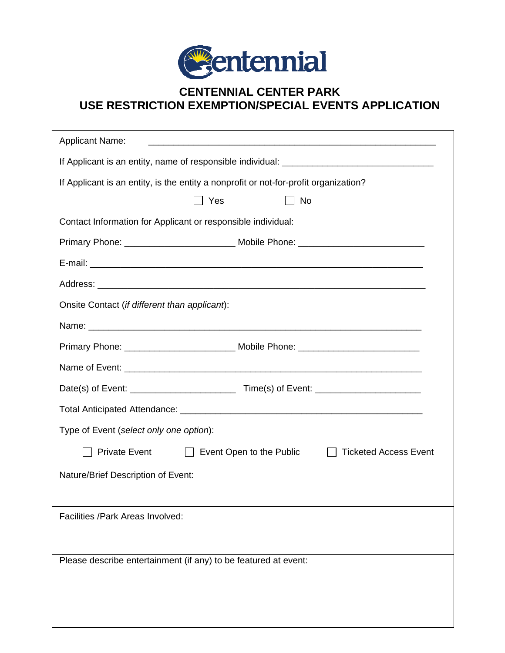

## **CENTENNIAL CENTER PARK USE RESTRICTION EXEMPTION/SPECIAL EVENTS APPLICATION**

| <b>Applicant Name:</b>                                                               |                                                                                   |  |
|--------------------------------------------------------------------------------------|-----------------------------------------------------------------------------------|--|
|                                                                                      |                                                                                   |  |
| If Applicant is an entity, is the entity a nonprofit or not-for-profit organization? |                                                                                   |  |
| Yes                                                                                  | <b>No</b>                                                                         |  |
| Contact Information for Applicant or responsible individual:                         |                                                                                   |  |
|                                                                                      | Primary Phone: ___________________________ Mobile Phone: _______________________  |  |
|                                                                                      |                                                                                   |  |
|                                                                                      |                                                                                   |  |
| Onsite Contact (if different than applicant):                                        |                                                                                   |  |
|                                                                                      |                                                                                   |  |
|                                                                                      | Primary Phone: _______________________________ Mobile Phone: ____________________ |  |
|                                                                                      |                                                                                   |  |
|                                                                                      |                                                                                   |  |
|                                                                                      |                                                                                   |  |
| Type of Event (select only one option):                                              |                                                                                   |  |
| <b>Private Event</b>                                                                 | $\Box$ Event Open to the Public<br><b>Ticketed Access Event</b>                   |  |
| Nature/Brief Description of Event:                                                   |                                                                                   |  |
|                                                                                      |                                                                                   |  |
| Facilities / Park Areas Involved:                                                    |                                                                                   |  |
|                                                                                      |                                                                                   |  |
| Please describe entertainment (if any) to be featured at event:                      |                                                                                   |  |
|                                                                                      |                                                                                   |  |
|                                                                                      |                                                                                   |  |
|                                                                                      |                                                                                   |  |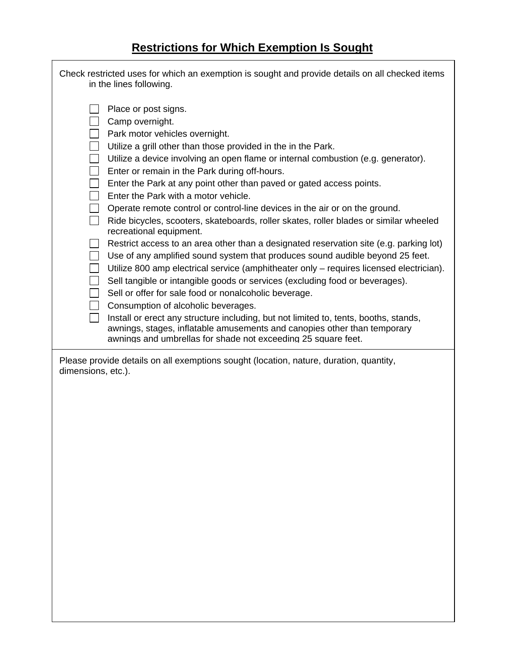## **Restrictions for Which Exemption Is Sought**

Г

| Check restricted uses for which an exemption is sought and provide details on all checked items<br>in the lines following.                                                                                                                                                                                                                                                                                                                                                                                                                                                                                                                                                                                                                                                                                                                                                          |  |
|-------------------------------------------------------------------------------------------------------------------------------------------------------------------------------------------------------------------------------------------------------------------------------------------------------------------------------------------------------------------------------------------------------------------------------------------------------------------------------------------------------------------------------------------------------------------------------------------------------------------------------------------------------------------------------------------------------------------------------------------------------------------------------------------------------------------------------------------------------------------------------------|--|
| Place or post signs.<br>Camp overnight.<br>Park motor vehicles overnight.<br>Utilize a grill other than those provided in the in the Park.<br>Utilize a device involving an open flame or internal combustion (e.g. generator).<br>Enter or remain in the Park during off-hours.<br>Enter the Park at any point other than paved or gated access points.<br>Enter the Park with a motor vehicle.<br>Operate remote control or control-line devices in the air or on the ground.<br>Ride bicycles, scooters, skateboards, roller skates, roller blades or similar wheeled<br>recreational equipment.<br>Restrict access to an area other than a designated reservation site (e.g. parking lot)<br>$\Box$<br>Use of any amplified sound system that produces sound audible beyond 25 feet.<br>Utilize 800 amp electrical service (amphitheater only – requires licensed electrician). |  |
| Sell tangible or intangible goods or services (excluding food or beverages).<br>Sell or offer for sale food or nonalcoholic beverage.                                                                                                                                                                                                                                                                                                                                                                                                                                                                                                                                                                                                                                                                                                                                               |  |
| Consumption of alcoholic beverages.                                                                                                                                                                                                                                                                                                                                                                                                                                                                                                                                                                                                                                                                                                                                                                                                                                                 |  |
| Install or erect any structure including, but not limited to, tents, booths, stands,<br>awnings, stages, inflatable amusements and canopies other than temporary<br>awnings and umbrellas for shade not exceeding 25 square feet.                                                                                                                                                                                                                                                                                                                                                                                                                                                                                                                                                                                                                                                   |  |
| Please provide details on all exemptions sought (location, nature, duration, quantity,<br>dimensions, etc.).                                                                                                                                                                                                                                                                                                                                                                                                                                                                                                                                                                                                                                                                                                                                                                        |  |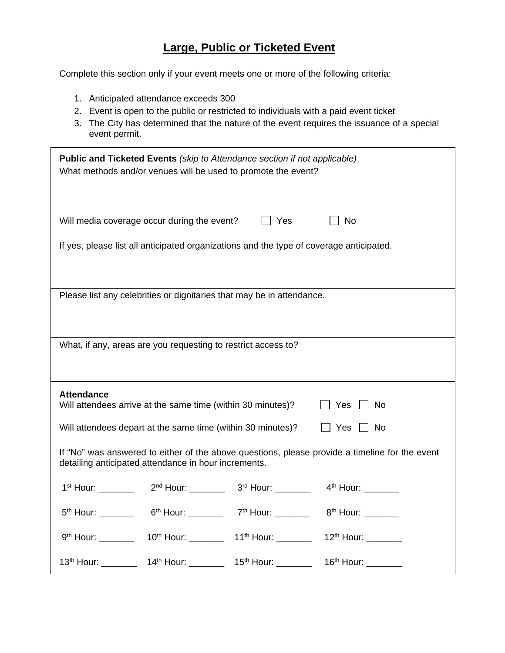## **Large, Public or Ticketed Event**

Complete this section only if your event meets one or more of the following criteria:

- 1. Anticipated attendance exceeds 300
- 2. Event is open to the public or restricted to individuals with a paid event ticket
- 3. The City has determined that the nature of the event requires the issuance of a special event permit.

| <b>Public and Ticketed Events</b> (skip to Attendance section if not applicable)<br>What methods and/or venues will be used to promote the event?      |  |  |
|--------------------------------------------------------------------------------------------------------------------------------------------------------|--|--|
| No<br>Will media coverage occur during the event?<br><b>Nes</b>                                                                                        |  |  |
| If yes, please list all anticipated organizations and the type of coverage anticipated.                                                                |  |  |
| Please list any celebrities or dignitaries that may be in attendance.                                                                                  |  |  |
| What, if any, areas are you requesting to restrict access to?                                                                                          |  |  |
|                                                                                                                                                        |  |  |
| <b>Attendance</b><br>Will attendees arrive at the same time (within 30 minutes)?<br>$\Box$ Yes $\Box$ No                                               |  |  |
| Will attendees depart at the same time (within 30 minutes)?<br>$\Box$ Yes $\Box$ No                                                                    |  |  |
| If "No" was answered to either of the above questions, please provide a timeline for the event<br>detailing anticipated attendance in hour increments. |  |  |
|                                                                                                                                                        |  |  |
| 5 <sup>th</sup> Hour: 6 <sup>th</sup> Hour: 7 <sup>th</sup> Hour: 7 <sup>th</sup> Hour: 8 <sup>th</sup> Hour:                                          |  |  |
| 9th Hour: _____________ 10th Hour: ____________ 11th Hour: ___________ 12th Hour: _________                                                            |  |  |
| 13 <sup>th</sup> Hour: __________ 14 <sup>th</sup> Hour: _________ 15 <sup>th</sup> Hour: _________ 16 <sup>th</sup> Hour: ________                    |  |  |